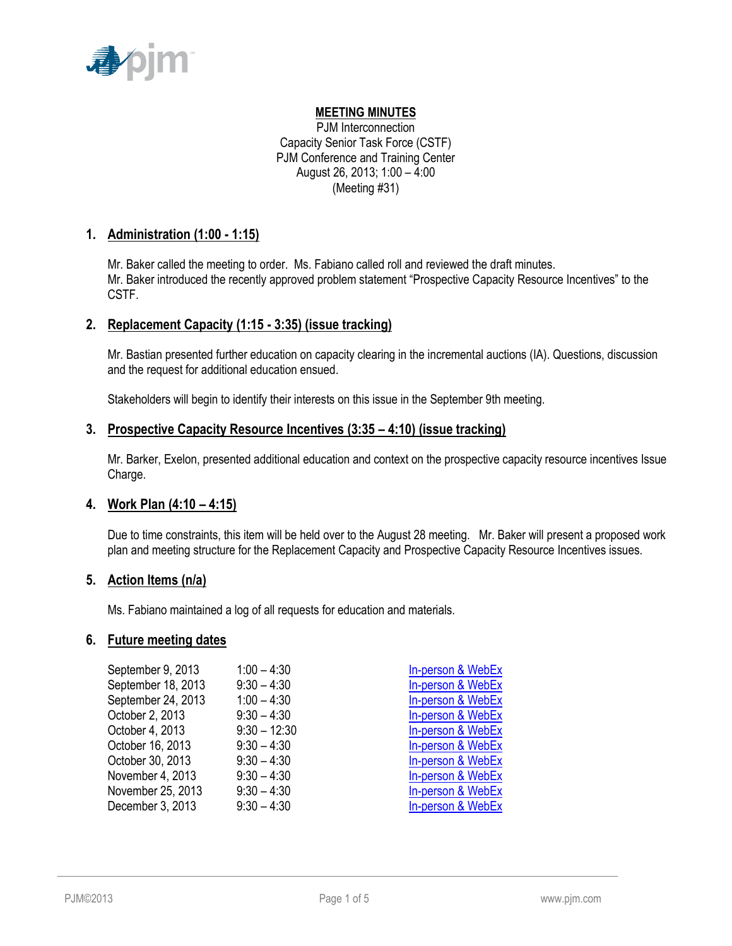

# **MEETING MINUTES**

PJM Interconnection Capacity Senior Task Force (CSTF) PJM Conference and Training Center August 26, 2013; 1:00 – 4:00 (Meeting #31)

## **1. Administration (1:00 - 1:15)**

Mr. Baker called the meeting to order. Ms. Fabiano called roll and reviewed the draft minutes. Mr. Baker introduced the recently approved problem statement "Prospective Capacity Resource Incentives" to the CSTF.

# **2. Replacement Capacity (1:15 - 3:35) (issue tracking)**

Mr. Bastian presented further education on capacity clearing in the incremental auctions (IA). Questions, discussion and the request for additional education ensued.

Stakeholders will begin to identify their interests on this issue in the September 9th meeting.

## **3. Prospective Capacity Resource Incentives (3:35 – 4:10) (issue tracking)**

Mr. Barker, Exelon, presented additional education and context on the prospective capacity resource incentives Issue Charge.

## **4. Work Plan (4:10 – 4:15)**

Due to time constraints, this item will be held over to the August 28 meeting. Mr. Baker will present a proposed work plan and meeting structure for the Replacement Capacity and Prospective Capacity Resource Incentives issues.

## **5. Action Items (n/a)**

Ms. Fabiano maintained a log of all requests for education and materials.

### **6. Future meeting dates**

| September 9, 2013  | $1:00 - 4:30$  | In-person & WebEx |
|--------------------|----------------|-------------------|
| September 18, 2013 | $9:30 - 4:30$  | In-person & WebEx |
| September 24, 2013 | $1:00 - 4:30$  | In-person & WebEx |
| October 2, 2013    | $9:30 - 4:30$  | In-person & WebEx |
| October 4, 2013    | $9:30 - 12:30$ | In-person & WebEx |
| October 16, 2013   | $9:30 - 4:30$  | In-person & WebEx |
| October 30, 2013   | $9:30 - 4:30$  | In-person & WebEx |
| November 4, 2013   | $9:30 - 4:30$  | In-person & WebEx |
| November 25, 2013  | $9:30 - 4:30$  | In-person & WebEx |
| December 3, 2013   | $9:30 - 4:30$  | In-person & WebEx |
|                    |                |                   |

| <b>In-person &amp; WebEx</b> |
|------------------------------|
| In-person & WebEx            |
| In-person & WebEx            |
| In-person & WebEx            |
| In-person & WebEx            |
| In-person & WebEx            |
| In-person & WebEx            |
| In-person & WebEx            |
| In-person & WebEx            |
| In-person & WebEx            |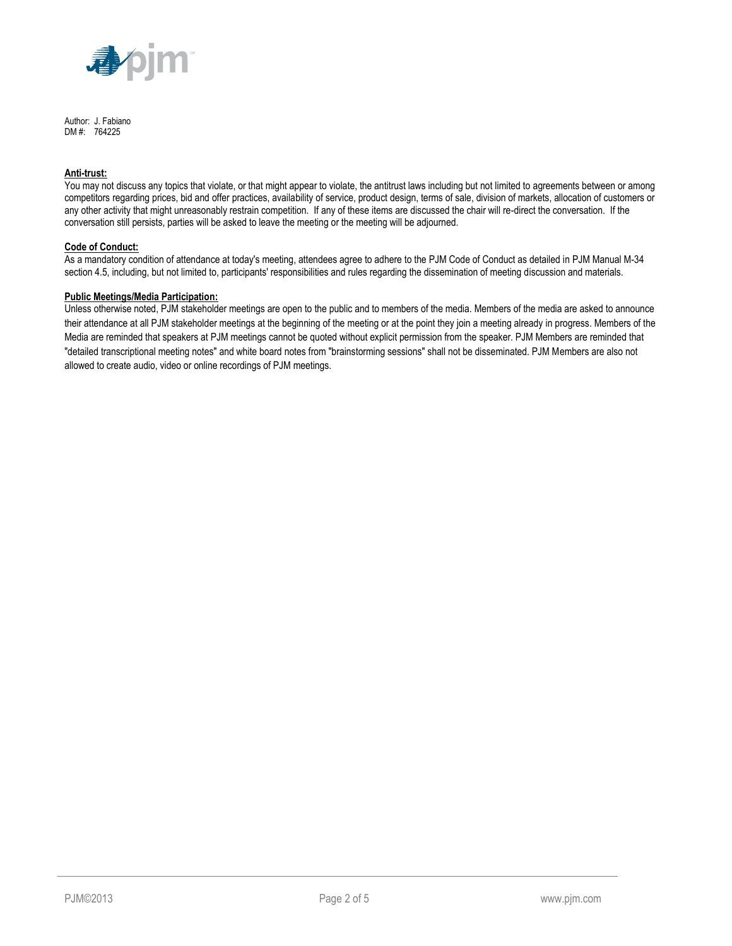

Author: J. Fabiano DM #: 764225

#### **Anti-trust:**

You may not discuss any topics that violate, or that might appear to violate, the antitrust laws including but not limited to agreements between or among competitors regarding prices, bid and offer practices, availability of service, product design, terms of sale, division of markets, allocation of customers or any other activity that might unreasonably restrain competition. If any of these items are discussed the chair will re-direct the conversation. If the conversation still persists, parties will be asked to leave the meeting or the meeting will be adjourned.

#### **Code of Conduct:**

As a mandatory condition of attendance at today's meeting, attendees agree to adhere to the PJM Code of Conduct as detailed in PJM Manual M-34 section 4.5, including, but not limited to, participants' responsibilities and rules regarding the dissemination of meeting discussion and materials.

#### **Public Meetings/Media Participation:**

Unless otherwise noted, PJM stakeholder meetings are open to the public and to members of the media. Members of the media are asked to announce their attendance at all PJM stakeholder meetings at the beginning of the meeting or at the point they join a meeting already in progress. Members of the Media are reminded that speakers at PJM meetings cannot be quoted without explicit permission from the speaker. PJM Members are reminded that "detailed transcriptional meeting notes" and white board notes from "brainstorming sessions" shall not be disseminated. PJM Members are also not allowed to create audio, video or online recordings of PJM meetings.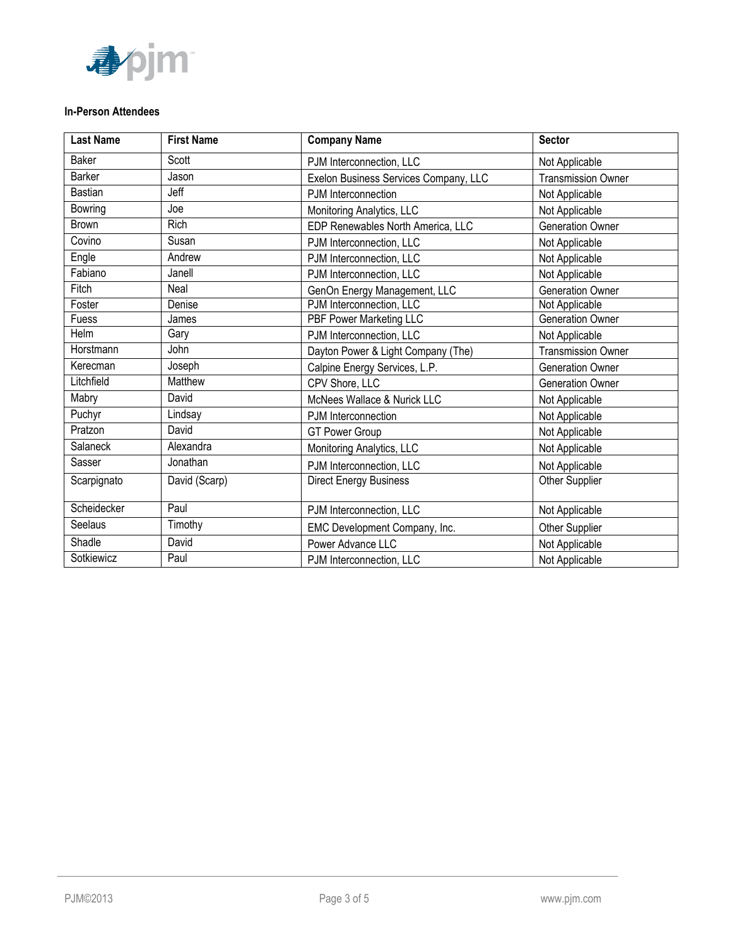

### **In-Person Attendees**

| <b>Last Name</b> | <b>First Name</b> | <b>Company Name</b>                   | <b>Sector</b>             |
|------------------|-------------------|---------------------------------------|---------------------------|
| <b>Baker</b>     | Scott             | PJM Interconnection, LLC              | Not Applicable            |
| Barker           | Jason             | Exelon Business Services Company, LLC | <b>Transmission Owner</b> |
| <b>Bastian</b>   | Jeff              | PJM Interconnection                   | Not Applicable            |
| Bowring          | Joe               | Monitoring Analytics, LLC             | Not Applicable            |
| <b>Brown</b>     | <b>Rich</b>       | EDP Renewables North America, LLC     | <b>Generation Owner</b>   |
| Covino           | Susan             | PJM Interconnection, LLC              | Not Applicable            |
| Engle            | Andrew            | PJM Interconnection, LLC              | Not Applicable            |
| Fabiano          | Janell            | PJM Interconnection, LLC              | Not Applicable            |
| Fitch            | Neal              | GenOn Energy Management, LLC          | Generation Owner          |
| Foster           | Denise            | PJM Interconnection, LLC              | Not Applicable            |
| Fuess            | James             | PBF Power Marketing LLC               | <b>Generation Owner</b>   |
| Helm             | Gary              | PJM Interconnection, LLC              | Not Applicable            |
| Horstmann        | John              | Dayton Power & Light Company (The)    | <b>Transmission Owner</b> |
| Kerecman         | Joseph            | Calpine Energy Services, L.P.         | <b>Generation Owner</b>   |
| Litchfield       | Matthew           | CPV Shore, LLC                        | <b>Generation Owner</b>   |
| Mabry            | David             | McNees Wallace & Nurick LLC           | Not Applicable            |
| Puchyr           | Lindsay           | PJM Interconnection                   | Not Applicable            |
| Pratzon          | David             | <b>GT Power Group</b>                 | Not Applicable            |
| Salaneck         | Alexandra         | Monitoring Analytics, LLC             | Not Applicable            |
| Sasser           | Jonathan          | PJM Interconnection, LLC              | Not Applicable            |
| Scarpignato      | David (Scarp)     | <b>Direct Energy Business</b>         | Other Supplier            |
| Scheidecker      | Paul              | PJM Interconnection, LLC              | Not Applicable            |
| Seelaus          | Timothy           | EMC Development Company, Inc.         | Other Supplier            |
| Shadle           | David             | Power Advance LLC                     | Not Applicable            |
| Sotkiewicz       | Paul              | PJM Interconnection, LLC              | Not Applicable            |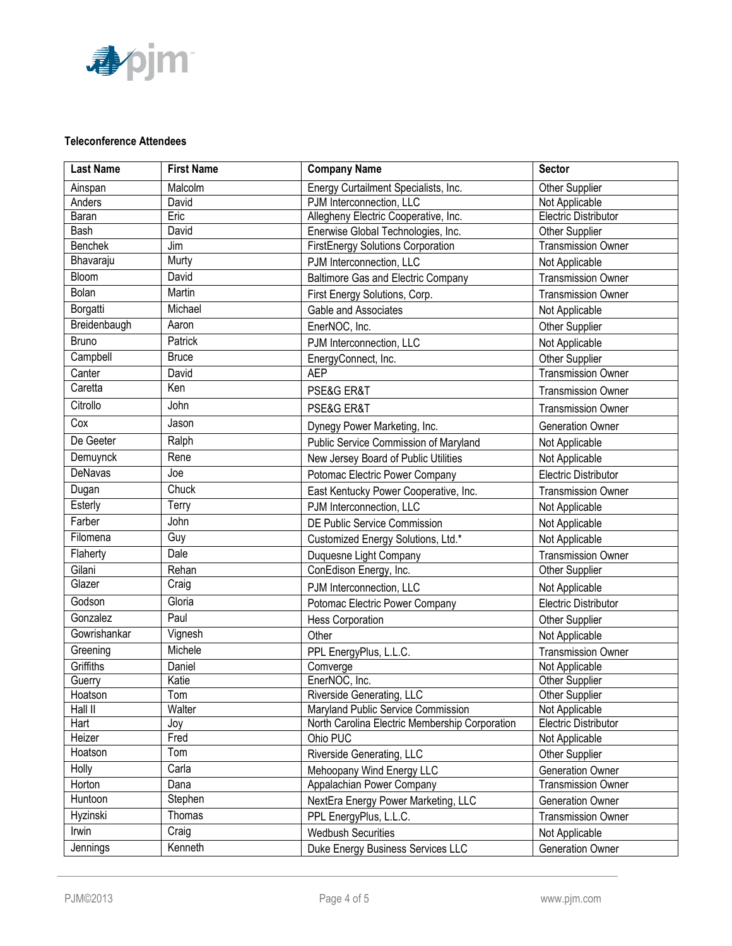

## **Teleconference Attendees**

| <b>Last Name</b> | <b>First Name</b> | <b>Company Name</b>                            | <b>Sector</b>               |
|------------------|-------------------|------------------------------------------------|-----------------------------|
| Ainspan          | Malcolm           | Energy Curtailment Specialists, Inc.           | Other Supplier              |
| Anders           | David             | PJM Interconnection, LLC                       | Not Applicable              |
| Baran            | Eric              | Allegheny Electric Cooperative, Inc.           | Electric Distributor        |
| Bash             | David             | Enerwise Global Technologies, Inc.             | Other Supplier              |
| Benchek          | Jim               | FirstEnergy Solutions Corporation              | <b>Transmission Owner</b>   |
| Bhavaraju        | Murty             | PJM Interconnection, LLC                       | Not Applicable              |
| Bloom            | David             | <b>Baltimore Gas and Electric Company</b>      | <b>Transmission Owner</b>   |
| Bolan            | Martin            | First Energy Solutions, Corp.                  | <b>Transmission Owner</b>   |
| Borgatti         | Michael           | Gable and Associates                           | Not Applicable              |
| Breidenbaugh     | Aaron             | EnerNOC, Inc.                                  | Other Supplier              |
| Bruno            | Patrick           | PJM Interconnection, LLC                       | Not Applicable              |
| Campbell         | <b>Bruce</b>      | EnergyConnect, Inc.                            | Other Supplier              |
| Canter           | David             | <b>AEP</b>                                     | <b>Transmission Owner</b>   |
| Caretta          | Ken               | PSE&G ER&T                                     | <b>Transmission Owner</b>   |
| Citrollo         | John              | PSE&G ER&T                                     | <b>Transmission Owner</b>   |
| Cox              | Jason             | Dynegy Power Marketing, Inc.                   | <b>Generation Owner</b>     |
| De Geeter        | Ralph             | Public Service Commission of Maryland          | Not Applicable              |
| Demuynck         | Rene              | New Jersey Board of Public Utilities           | Not Applicable              |
| DeNavas          | Joe               | Potomac Electric Power Company                 | Electric Distributor        |
| Dugan            | Chuck             | East Kentucky Power Cooperative, Inc.          | <b>Transmission Owner</b>   |
| Esterly          | Terry             | PJM Interconnection, LLC                       | Not Applicable              |
| Farber           | John              | DE Public Service Commission                   | Not Applicable              |
| Filomena         | Guy               | Customized Energy Solutions, Ltd.*             | Not Applicable              |
| Flaherty         | Dale              | Duquesne Light Company                         | <b>Transmission Owner</b>   |
| Gilani           | Rehan             | ConEdison Energy, Inc.                         | <b>Other Supplier</b>       |
| Glazer           | Craig             | PJM Interconnection, LLC                       | Not Applicable              |
| Godson           | Gloria            | Potomac Electric Power Company                 | Electric Distributor        |
| Gonzalez         | Paul              | <b>Hess Corporation</b>                        | Other Supplier              |
| Gowrishankar     | Vignesh           | Other                                          | Not Applicable              |
| Greening         | Michele           | PPL EnergyPlus, L.L.C.                         | <b>Transmission Owner</b>   |
| Griffiths        | Daniel            | Comverge                                       | Not Applicable              |
| Guerry           | Katie             | EnerNOC, Inc.                                  | Other Supplier              |
| Hoatson          | Tom               | Riverside Generating, LLC                      | Other Supplier              |
| Hall II          | Walter            | Maryland Public Service Commission             | Not Applicable              |
| Hart             | Joy               | North Carolina Electric Membership Corporation | <b>Electric Distributor</b> |
| Heizer           | Fred              | Ohio PUC                                       | Not Applicable              |
| Hoatson          | Tom               | Riverside Generating, LLC                      | Other Supplier              |
| Holly            | Carla             | Mehoopany Wind Energy LLC                      | Generation Owner            |
| Horton           | Dana              | Appalachian Power Company                      | <b>Transmission Owner</b>   |
| Huntoon          | Stephen           | NextEra Energy Power Marketing, LLC            | Generation Owner            |
| Hyzinski         | Thomas            | PPL EnergyPlus, L.L.C.                         | <b>Transmission Owner</b>   |
| Irwin            | Craig             | <b>Wedbush Securities</b>                      | Not Applicable              |
| Jennings         | Kenneth           | Duke Energy Business Services LLC              | Generation Owner            |